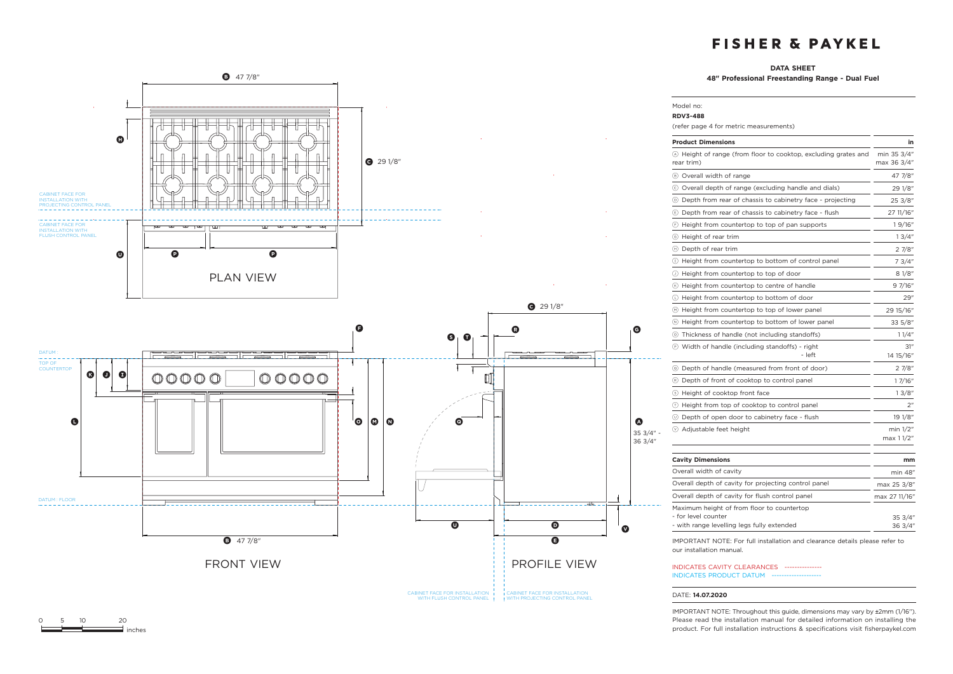### **DATA SHEET**

Model no:

**48" Professional Freestanding Range - Dual Fuel**



| <b>RDV3-488</b>                                                                                                 |                            |
|-----------------------------------------------------------------------------------------------------------------|----------------------------|
| (refer page 4 for metric measurements)                                                                          |                            |
| <b>Product Dimensions</b>                                                                                       | in                         |
| 4 Height of range (from floor to cooktop, excluding grates and<br>rear trim)                                    | min 35 3/4"<br>max 36 3/4" |
| 8 Overall width of range                                                                                        | 47 7/8"                    |
| © Overall depth of range (excluding handle and dials)                                                           | 29 1/8"                    |
| 10 Depth from rear of chassis to cabinetry face - projecting                                                    | 25 3/8"                    |
| Depth from rear of chassis to cabinetry face - flush                                                            | 27 11/16"                  |
| $\odot$ Height from countertop to top of pan supports                                                           | 19/16"                     |
| ⑤ Height of rear trim                                                                                           | 13/4"                      |
| (H) Depth of rear trim                                                                                          | 27/8"                      |
| 1) Height from countertop to bottom of control panel                                                            | 7 3/4"                     |
| $\circledcirc$ Height from countertop to top of door                                                            | 8 1/8"                     |
| (6) Height from countertop to centre of handle                                                                  | 9 7/16"                    |
| 10 Height from countertop to bottom of door                                                                     | 29"                        |
| (•) Height from countertop to top of lower panel                                                                | 29 15/16"                  |
| If Height from countertop to bottom of lower panel                                                              | 33 5/8"                    |
| 15 Thickness of handle (not including standoffs)                                                                | 1 1/4"                     |
| (P) Width of handle (including standoffs) - right<br>- left                                                     | 31"<br>14 15/16"           |
| © Depth of handle (measured from front of door)                                                                 | 27/8"                      |
| ® Depth of front of cooktop to control panel                                                                    | 1 7/16"                    |
| S Height of cooktop front face                                                                                  | 13/8"                      |
| ① Height from top of cooktop to control panel                                                                   | 2"                         |
| 10 Depth of open door to cabinetry face - flush                                                                 | 19 1/8″                    |
| ⊙ Adjustable feet height                                                                                        | min 1/2"<br>max 1 1/2"     |
| <b>Cavity Dimensions</b>                                                                                        | mm                         |
| Overall width of cavity                                                                                         | min 48"                    |
| Overall depth of cavity for projecting control panel                                                            | max 25 3/8"                |
| Overall depth of cavity for flush control panel                                                                 | max 27 11/16"              |
| Maximum height of from floor to countertop<br>- for level counter<br>- with range levelling legs fully extended | 35 3/4"<br>36 3/4"         |
| IMPORTANT NOTE: For full installation and clearance details please refer to                                     |                            |

IMPORTANT NOTE: For full installation and clearance details please refer to our installation manual.

INDICATES CAVITY CLEARANCES --------------- INDICATES PRODUCT DATUM --

#### DATE: **14.07.2020**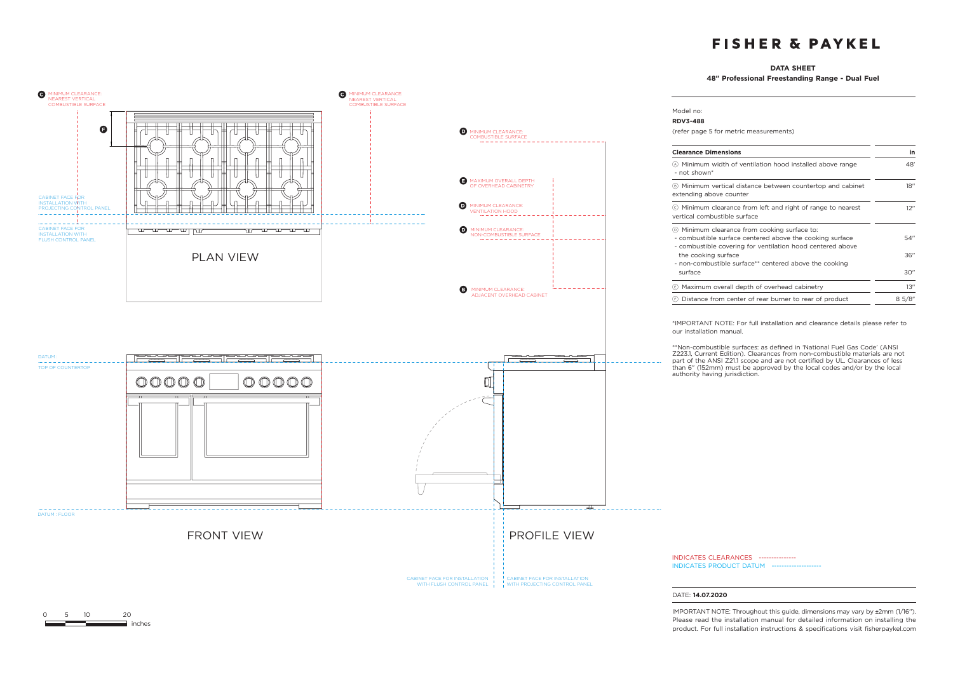### **DATA SHEET**

**48" Professional Freestanding Range - Dual Fuel** 

48'

18''

 $12'$ 

54'' 36'' 30''



0 5 10 20

 $\equiv$  inches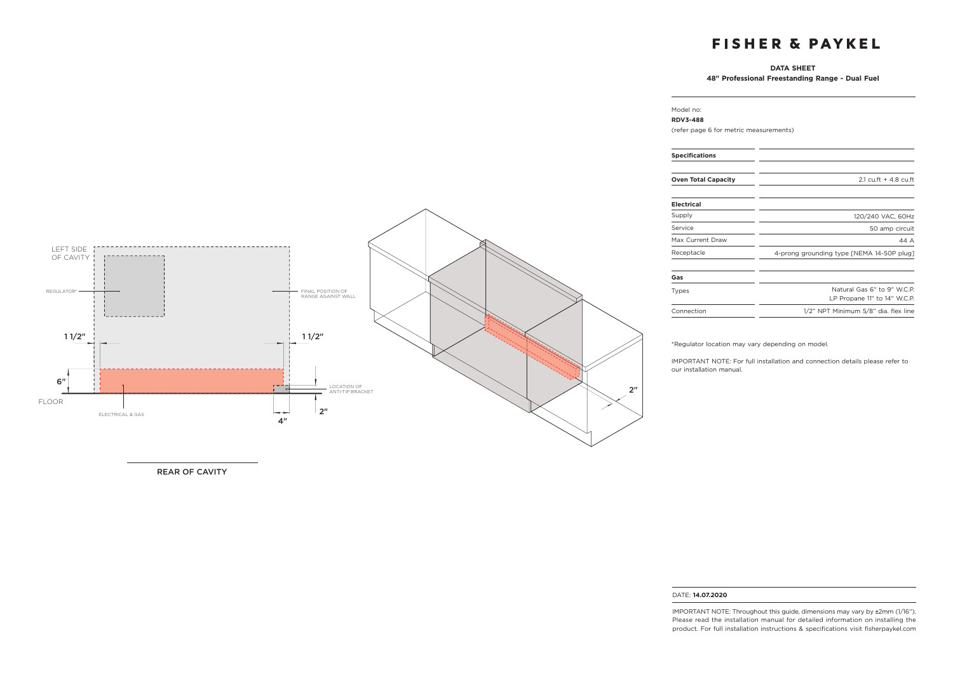### **DATA SHEET**

**48" Professional Freestanding Range - Dual Fuel**

## LEFT SIDE OF CAVITY REGULATOR\* FINAL POSITION OF RANGE AGAINST WALL <u>| \_ \_ \_ \_ \_ \_ \_ \_ \_ \_ \_ \_ \_</u>  $11/2$ " is a set of the set of the set of the set of the set of the set of the set of the set of the set of the set of the set of the set of the set of the set of the set of the set of the set of the set of the set of the 6" ГT - 1 2"LOCATION OF ANTI-TIP BRACKET FLOOR  $2"$ سيمين المتوقف ELECTRICAL & GAS 4"

REAR OF CAVITY

#### Model no: **RDV3-488**

(refer page 6 for metric measurements)

| <b>Specifications</b>      |                                                             |
|----------------------------|-------------------------------------------------------------|
| <b>Oven Total Capacity</b> | $2.1 \text{ c}$ u.ft + 4.8 cu.ft                            |
| <b>Electrical</b>          |                                                             |
| Supply                     | 120/240 VAC, 60Hz                                           |
| Service                    | 50 amp circuit                                              |
| Max Current Draw           | 44 A                                                        |
| Receptacle                 | 4-prong grounding type [NEMA 14-50P plug]                   |
| Gas                        |                                                             |
| Types                      | Natural Gas 6" to 9" W.C.P.<br>LP Propane 11" to 14" W.C.P. |
| Connection                 | 1/2" NPT Minimum 5/8" dia. flex line                        |

\*Regulator location may vary depending on model.

IMPORTANT NOTE: For full installation and connection details please refer to our installation manual.

#### DATE: **14.07.2020**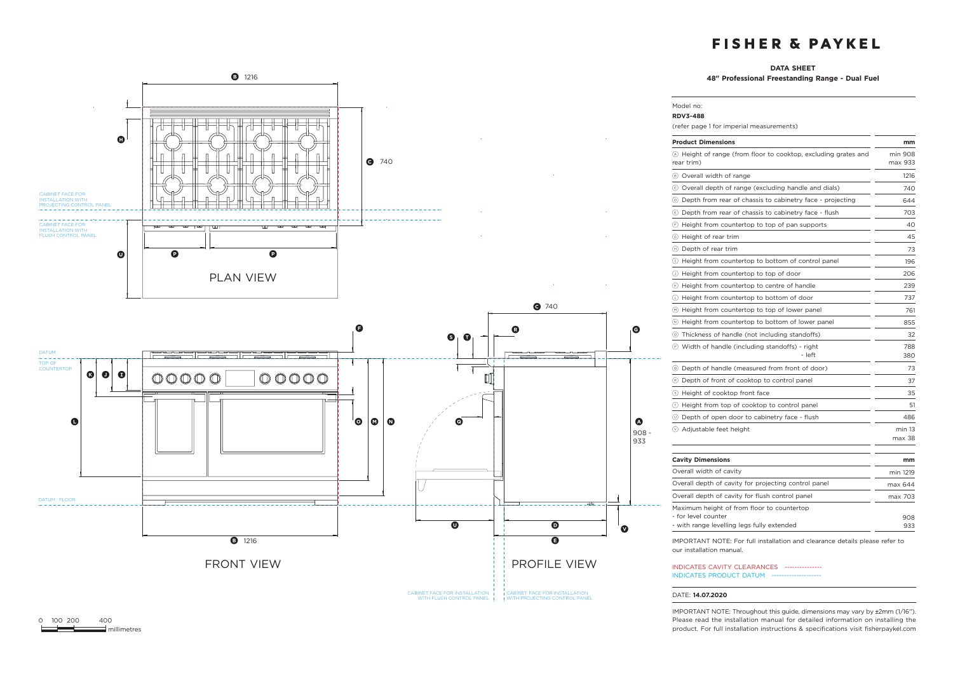### **DATA SHEET**

Model no:

**48" Professional Freestanding Range - Dual Fuel**



### **RDV3-488** (refer page 1 for imperial measurements) **Product Dimensions mm** a Height of range (from floor to cooktop, excluding grates and rear trim) min 908 max 933 B Overall width of range 1216 c Overall depth of range (excluding handle and dials) 740 d Depth from rear of chassis to cabinetry face - projecting 644  $\circledR$  Depth from rear of chassis to cabinetry face - flush 703 f Height from countertop to top of pan supports 40 g Height of rear trim 45  $\Theta$  Depth of rear trim 73  $\circ$  Height from countertop to bottom of control panel 196 j Height from countertop to top of door 206  $k$  Height from countertop to centre of handle 239 l Height from countertop to bottom of door 737  $<sup>6</sup>$  Height from countertop to top of lower panel 761</sup>  $\circledR$  Height from countertop to bottom of lower panel 855 o Thickness of handle (not including standoffs) 32 p Width of handle (including standoffs) - right - left 788 380 q Depth of handle (measured from front of door) 73 **R** Depth of front of cooktop to control panel 37 S Height of cooktop front face 35  $<sup>(T)</sup>$  Height from top of cooktop to control panel  $<sup>(T)</sup>$ </sup></sup> u Depth of open door to cabinetry face - flush 486  $\heartsuit$  Adjustable feet height min 13 max 38 **Cavity Dimensions mm** Overall width of cavity min 1219 Overall depth of cavity for projecting control panel max 644 Overall depth of cavity for flush control panel max 703 Maximum height of from floor to countertop - for level counter - with range levelling legs fully extended 908 933

IMPORTANT NOTE: For full installation and clearance details please refer to our installation manual.

INDICATES CAVITY CLEARANCES --------------- INDICATES PRODUCT DATUM

#### DATE: **14.07.2020**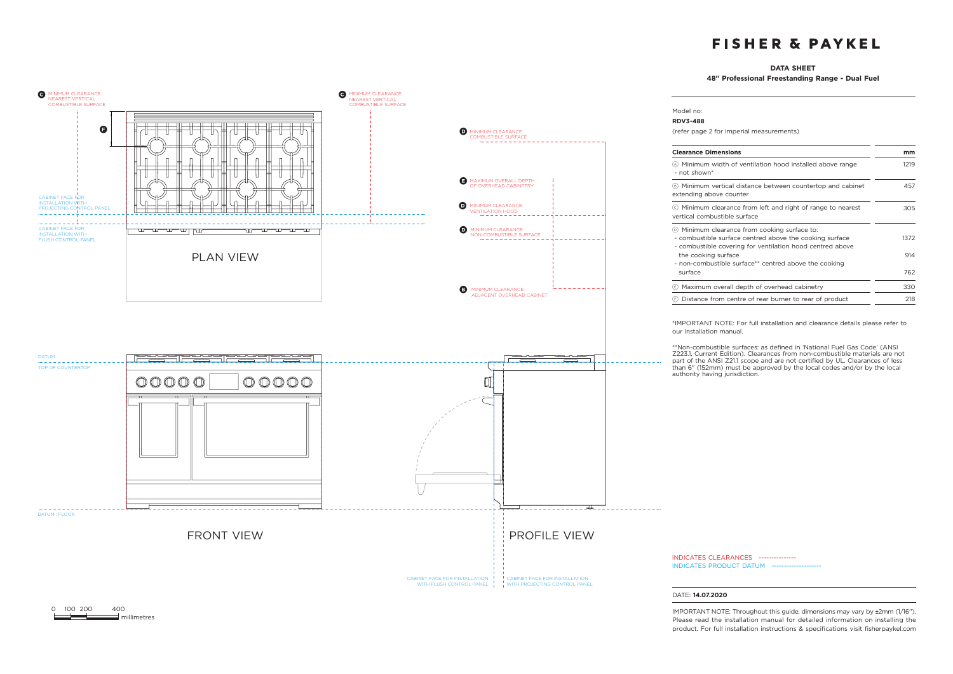### **DATA SHEET**

**48" Professional Freestanding Range - Dual Fuel**



0 100 200 400  $\equiv$  millimetres